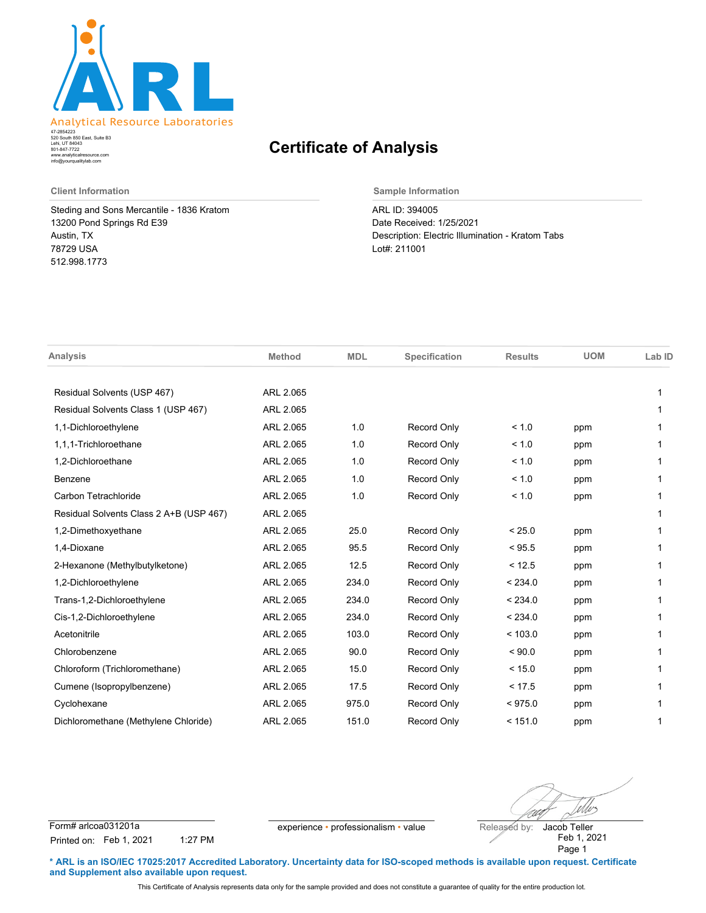

520 South 850 East, Suite B3 Lehi, UT 84043 47-2854223 801-847-7722 www.analyticalresource.com info@yourqualitylab.com

## **Certificate of Analysis**

Steding and Sons Mercantile - 1836 Kratom 13200 Pond Springs Rd E39 Austin, TX 78729 USA 512.998.1773

**Client Information Sample Information**

ARL ID: 394005 Date Received: 1/25/2021 Description: Electric Illumination - Kratom Tabs Lot#: 211001

| <b>Analysis</b>                         | <b>Method</b> | <b>MDL</b> | Specification      | <b>Results</b> | <b>UOM</b> | Lab ID |
|-----------------------------------------|---------------|------------|--------------------|----------------|------------|--------|
|                                         |               |            |                    |                |            |        |
| Residual Solvents (USP 467)             | ARL 2.065     |            |                    |                |            | 1      |
| Residual Solvents Class 1 (USP 467)     | ARL 2.065     |            |                    |                |            | 1      |
| 1,1-Dichloroethylene                    | ARL 2.065     | 1.0        | Record Only        | < 1.0          | ppm        |        |
| 1.1.1-Trichloroethane                   | ARL 2.065     | 1.0        | Record Only        | < 1.0          | ppm        |        |
| 1,2-Dichloroethane                      | ARL 2.065     | 1.0        | Record Only        | < 1.0          | ppm        | 1      |
| Benzene                                 | ARL 2.065     | 1.0        | Record Only        | < 1.0          | ppm        |        |
| Carbon Tetrachloride                    | ARL 2.065     | 1.0        | Record Only        | < 1.0          | ppm        |        |
| Residual Solvents Class 2 A+B (USP 467) | ARL 2.065     |            |                    |                |            |        |
| 1,2-Dimethoxyethane                     | ARL 2.065     | 25.0       | Record Only        | < 25.0         | ppm        |        |
| 1,4-Dioxane                             | ARL 2.065     | 95.5       | Record Only        | < 95.5         | ppm        |        |
| 2-Hexanone (Methylbutylketone)          | ARL 2.065     | 12.5       | Record Only        | < 12.5         | ppm        |        |
| 1,2-Dichloroethylene                    | ARL 2.065     | 234.0      | Record Only        | < 234.0        | ppm        | 1      |
| Trans-1,2-Dichloroethylene              | ARL 2.065     | 234.0      | Record Only        | < 234.0        | ppm        |        |
| Cis-1,2-Dichloroethylene                | ARL 2.065     | 234.0      | Record Only        | < 234.0        | ppm        |        |
| Acetonitrile                            | ARL 2.065     | 103.0      | Record Only        | < 103.0        | ppm        | 1      |
| Chlorobenzene                           | ARL 2.065     | 90.0       | Record Only        | ${}_{5.0000}$  | ppm        | 1      |
| Chloroform (Trichloromethane)           | ARL 2.065     | 15.0       | Record Only        | < 15.0         | ppm        |        |
| Cumene (Isopropylbenzene)               | ARL 2.065     | 17.5       | Record Only        | < 17.5         | ppm        |        |
| Cyclohexane                             | ARL 2.065     | 975.0      | Record Only        | < 975.0        | ppm        |        |
| Dichloromethane (Methylene Chloride)    | ARL 2.065     | 151.0      | <b>Record Only</b> | < 151.0        | ppm        | 1      |

Uvs

Form# arlcoa031201a experience • professionalism • value Released by: Printed on: Feb 1, 2021 1:27 PM

Feb 1, 2021 Page 1 Jacob Teller

**\* ARL is an ISO/IEC 17025:2017 Accredited Laboratory. Uncertainty data for ISO-scoped methods is available upon request. Certificate and Supplement also available upon request.**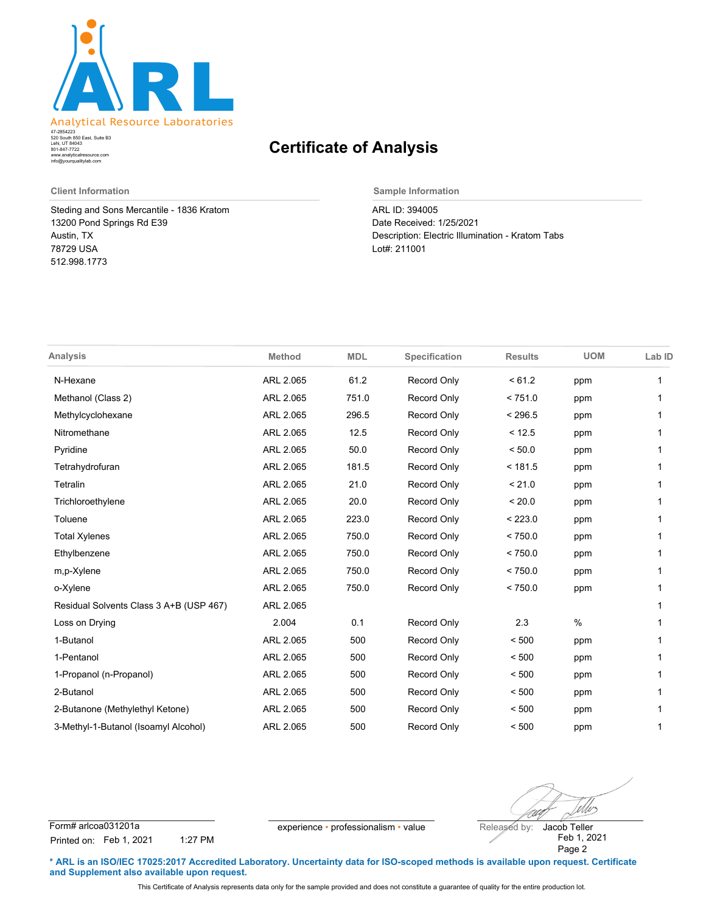

520 South 850 East, Suite B3 Lehi, UT 84043 47-2854223 801-847-7722 www.analyticalresource.com info@yourqualitylab.com

## **Certificate of Analysis**

Steding and Sons Mercantile - 1836 Kratom 13200 Pond Springs Rd E39 Austin, TX 78729 USA 512.998.1773

**Client Information Sample Information**

ARL ID: 394005 Date Received: 1/25/2021 Description: Electric Illumination - Kratom Tabs Lot#: 211001

| <b>Analysis</b>                         | <b>Method</b> | <b>MDL</b> | Specification      | <b>Results</b> | <b>UOM</b> | Lab ID |
|-----------------------------------------|---------------|------------|--------------------|----------------|------------|--------|
| N-Hexane                                | ARL 2.065     | 61.2       | <b>Record Only</b> | < 61.2         | ppm        | 1      |
| Methanol (Class 2)                      | ARL 2.065     | 751.0      | Record Only        | < 751.0        | ppm        |        |
| Methylcyclohexane                       | ARL 2.065     | 296.5      | Record Only        | < 296.5        | ppm        |        |
| Nitromethane                            | ARL 2.065     | 12.5       | <b>Record Only</b> | < 12.5         | ppm        | 1      |
| Pyridine                                | ARL 2.065     | 50.0       | <b>Record Only</b> | < 50.0         | ppm        | 1      |
| Tetrahydrofuran                         | ARL 2.065     | 181.5      | Record Only        | < 181.5        | ppm        | 1      |
| Tetralin                                | ARL 2.065     | 21.0       | <b>Record Only</b> | < 21.0         | ppm        | 1      |
| Trichloroethylene                       | ARL 2.065     | 20.0       | <b>Record Only</b> | < 20.0         | ppm        | 1      |
| Toluene                                 | ARL 2.065     | 223.0      | <b>Record Only</b> | < 223.0        | ppm        | 1      |
| <b>Total Xylenes</b>                    | ARL 2.065     | 750.0      | Record Only        | < 750.0        | ppm        |        |
| Ethylbenzene                            | ARL 2.065     | 750.0      | Record Only        | < 750.0        | ppm        | 1      |
| m,p-Xylene                              | ARL 2.065     | 750.0      | Record Only        | < 750.0        | ppm        | 1      |
| o-Xylene                                | ARL 2.065     | 750.0      | <b>Record Only</b> | < 750.0        | ppm        |        |
| Residual Solvents Class 3 A+B (USP 467) | ARL 2.065     |            |                    |                |            | 1      |
| Loss on Drying                          | 2.004         | 0.1        | <b>Record Only</b> | 2.3            | $\%$       | 1      |
| 1-Butanol                               | ARL 2.065     | 500        | Record Only        | < 500          | ppm        |        |
| 1-Pentanol                              | ARL 2.065     | 500        | Record Only        | < 500          | ppm        | 1      |
| 1-Propanol (n-Propanol)                 | ARL 2.065     | 500        | Record Only        | < 500          | ppm        | 1      |
| 2-Butanol                               | ARL 2.065     | 500        | <b>Record Only</b> | < 500          | ppm        |        |
| 2-Butanone (Methylethyl Ketone)         | ARL 2.065     | 500        | Record Only        | < 500          | ppm        |        |
| 3-Methyl-1-Butanol (Isoamyl Alcohol)    | ARL 2.065     | 500        | <b>Record Only</b> | < 500          | ppm        | 1      |

Mos

Form# arlcoa031201a experience • professionalism • value Released by: Printed on: Feb 1, 2021 1:27 PM

Feb 1, 2021 Page 2 Jacob Teller

**\* ARL is an ISO/IEC 17025:2017 Accredited Laboratory. Uncertainty data for ISO-scoped methods is available upon request. Certificate and Supplement also available upon request.**